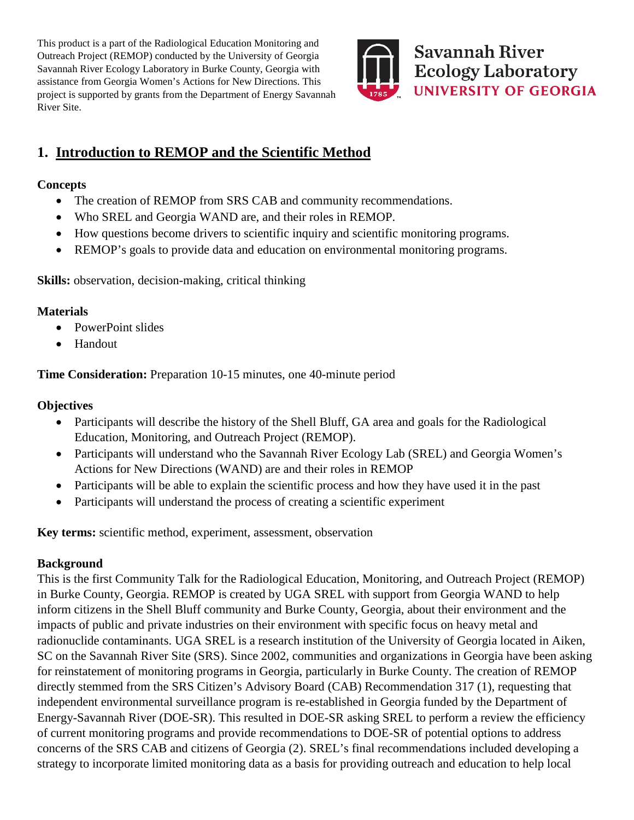This product is a part of the Radiological Education Monitoring and Outreach Project (REMOP) conducted by the University of Georgia Savannah River Ecology Laboratory in Burke County, Georgia with assistance from Georgia Women's Actions for New Directions. This project is supported by grants from the Department of Energy Savannah River Site.



# **1. Introduction to REMOP and the Scientific Method**

### **Concepts**

- The creation of REMOP from SRS CAB and community recommendations.
- Who SREL and Georgia WAND are, and their roles in REMOP.
- How questions become drivers to scientific inquiry and scientific monitoring programs.
- REMOP's goals to provide data and education on environmental monitoring programs.

**Skills:** observation, decision-making, critical thinking

## **Materials**

- PowerPoint slides
- Handout

**Time Consideration:** Preparation 10-15 minutes, one 40-minute period

## **Objectives**

- Participants will describe the history of the Shell Bluff, GA area and goals for the Radiological Education, Monitoring, and Outreach Project (REMOP).
- Participants will understand who the Savannah River Ecology Lab (SREL) and Georgia Women's Actions for New Directions (WAND) are and their roles in REMOP
- Participants will be able to explain the scientific process and how they have used it in the past
- Participants will understand the process of creating a scientific experiment

**Key terms:** scientific method, experiment, assessment, observation

# **Background**

This is the first Community Talk for the Radiological Education, Monitoring, and Outreach Project (REMOP) in Burke County, Georgia. REMOP is created by UGA SREL with support from Georgia WAND to help inform citizens in the Shell Bluff community and Burke County, Georgia, about their environment and the impacts of public and private industries on their environment with specific focus on heavy metal and radionuclide contaminants. UGA SREL is a research institution of the University of Georgia located in Aiken, SC on the Savannah River Site (SRS). Since 2002, communities and organizations in Georgia have been asking for reinstatement of monitoring programs in Georgia, particularly in Burke County. The creation of REMOP directly stemmed from the SRS Citizen's Advisory Board (CAB) Recommendation 317 (1), requesting that independent environmental surveillance program is re-established in Georgia funded by the Department of Energy-Savannah River (DOE-SR). This resulted in DOE-SR asking SREL to perform a review the efficiency of current monitoring programs and provide recommendations to DOE-SR of potential options to address concerns of the SRS CAB and citizens of Georgia (2). SREL's final recommendations included developing a strategy to incorporate limited monitoring data as a basis for providing outreach and education to help local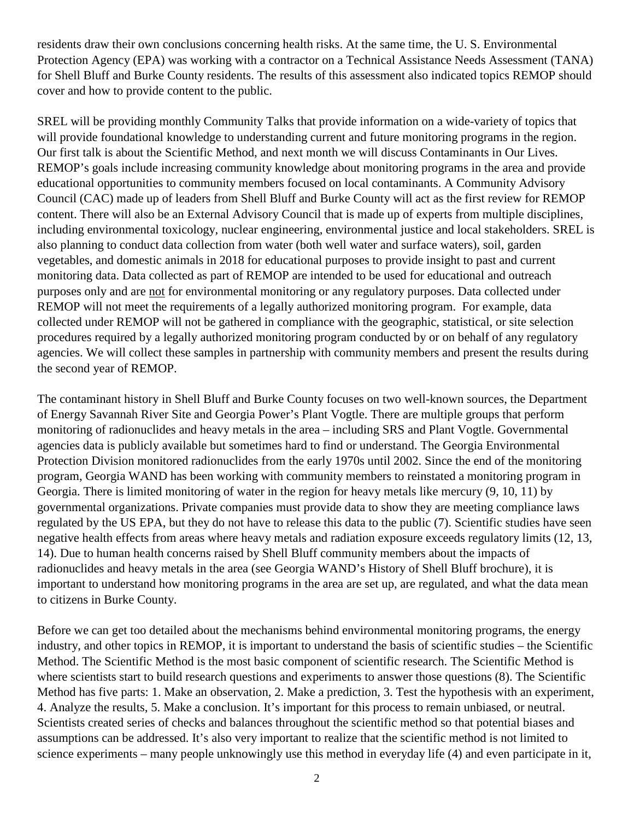residents draw their own conclusions concerning health risks. At the same time, the U. S. Environmental Protection Agency (EPA) was working with a contractor on a Technical Assistance Needs Assessment (TANA) for Shell Bluff and Burke County residents. The results of this assessment also indicated topics REMOP should cover and how to provide content to the public.

SREL will be providing monthly Community Talks that provide information on a wide-variety of topics that will provide foundational knowledge to understanding current and future monitoring programs in the region. Our first talk is about the Scientific Method, and next month we will discuss Contaminants in Our Lives. REMOP's goals include increasing community knowledge about monitoring programs in the area and provide educational opportunities to community members focused on local contaminants. A Community Advisory Council (CAC) made up of leaders from Shell Bluff and Burke County will act as the first review for REMOP content. There will also be an External Advisory Council that is made up of experts from multiple disciplines, including environmental toxicology, nuclear engineering, environmental justice and local stakeholders. SREL is also planning to conduct data collection from water (both well water and surface waters), soil, garden vegetables, and domestic animals in 2018 for educational purposes to provide insight to past and current monitoring data. Data collected as part of REMOP are intended to be used for educational and outreach purposes only and are not for environmental monitoring or any regulatory purposes. Data collected under REMOP will not meet the requirements of a legally authorized monitoring program. For example, data collected under REMOP will not be gathered in compliance with the geographic, statistical, or site selection procedures required by a legally authorized monitoring program conducted by or on behalf of any regulatory agencies. We will collect these samples in partnership with community members and present the results during the second year of REMOP.

The contaminant history in Shell Bluff and Burke County focuses on two well-known sources, the Department of Energy Savannah River Site and Georgia Power's Plant Vogtle. There are multiple groups that perform monitoring of radionuclides and heavy metals in the area – including SRS and Plant Vogtle. Governmental agencies data is publicly available but sometimes hard to find or understand. The Georgia Environmental Protection Division monitored radionuclides from the early 1970s until 2002. Since the end of the monitoring program, Georgia WAND has been working with community members to reinstated a monitoring program in Georgia. There is limited monitoring of water in the region for heavy metals like mercury (9, 10, 11) by governmental organizations. Private companies must provide data to show they are meeting compliance laws regulated by the US EPA, but they do not have to release this data to the public (7). Scientific studies have seen negative health effects from areas where heavy metals and radiation exposure exceeds regulatory limits (12, 13, 14). Due to human health concerns raised by Shell Bluff community members about the impacts of radionuclides and heavy metals in the area (see Georgia WAND's History of Shell Bluff brochure), it is important to understand how monitoring programs in the area are set up, are regulated, and what the data mean to citizens in Burke County.

Before we can get too detailed about the mechanisms behind environmental monitoring programs, the energy industry, and other topics in REMOP, it is important to understand the basis of scientific studies – the Scientific Method. The Scientific Method is the most basic component of scientific research. The Scientific Method is where scientists start to build research questions and experiments to answer those questions  $(8)$ . The Scientific Method has five parts: 1. Make an observation, 2. Make a prediction, 3. Test the hypothesis with an experiment, 4. Analyze the results, 5. Make a conclusion. It's important for this process to remain unbiased, or neutral. Scientists created series of checks and balances throughout the scientific method so that potential biases and assumptions can be addressed. It's also very important to realize that the scientific method is not limited to science experiments – many people unknowingly use this method in everyday life (4) and even participate in it,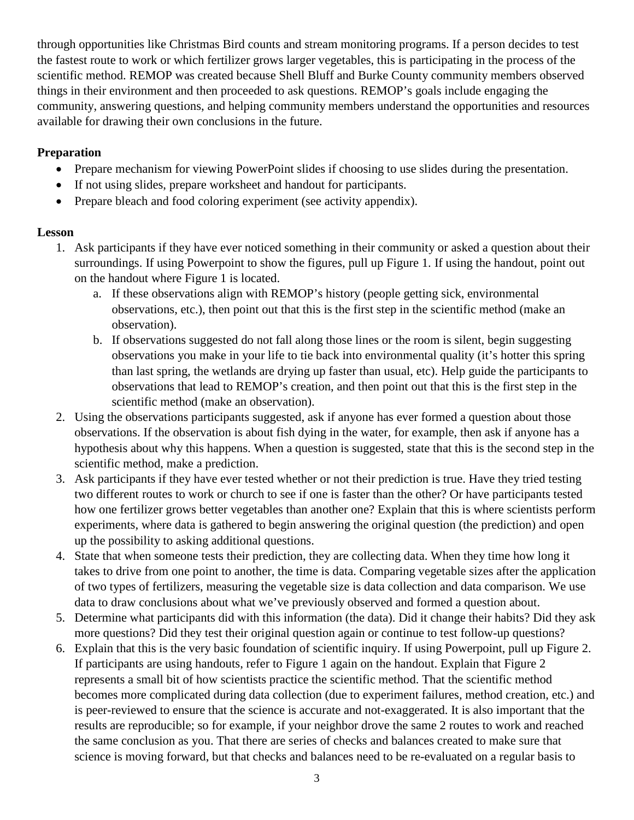through opportunities like Christmas Bird counts and stream monitoring programs. If a person decides to test the fastest route to work or which fertilizer grows larger vegetables, this is participating in the process of the scientific method. REMOP was created because Shell Bluff and Burke County community members observed things in their environment and then proceeded to ask questions. REMOP's goals include engaging the community, answering questions, and helping community members understand the opportunities and resources available for drawing their own conclusions in the future.

#### **Preparation**

- Prepare mechanism for viewing PowerPoint slides if choosing to use slides during the presentation.
- If not using slides, prepare worksheet and handout for participants.
- Prepare bleach and food coloring experiment (see activity appendix).

#### **Lesson**

- 1. Ask participants if they have ever noticed something in their community or asked a question about their surroundings. If using Powerpoint to show the figures, pull up Figure 1. If using the handout, point out on the handout where Figure 1 is located.
	- a. If these observations align with REMOP's history (people getting sick, environmental observations, etc.), then point out that this is the first step in the scientific method (make an observation).
	- b. If observations suggested do not fall along those lines or the room is silent, begin suggesting observations you make in your life to tie back into environmental quality (it's hotter this spring than last spring, the wetlands are drying up faster than usual, etc). Help guide the participants to observations that lead to REMOP's creation, and then point out that this is the first step in the scientific method (make an observation).
- 2. Using the observations participants suggested, ask if anyone has ever formed a question about those observations. If the observation is about fish dying in the water, for example, then ask if anyone has a hypothesis about why this happens. When a question is suggested, state that this is the second step in the scientific method, make a prediction.
- 3. Ask participants if they have ever tested whether or not their prediction is true. Have they tried testing two different routes to work or church to see if one is faster than the other? Or have participants tested how one fertilizer grows better vegetables than another one? Explain that this is where scientists perform experiments, where data is gathered to begin answering the original question (the prediction) and open up the possibility to asking additional questions.
- 4. State that when someone tests their prediction, they are collecting data. When they time how long it takes to drive from one point to another, the time is data. Comparing vegetable sizes after the application of two types of fertilizers, measuring the vegetable size is data collection and data comparison. We use data to draw conclusions about what we've previously observed and formed a question about.
- 5. Determine what participants did with this information (the data). Did it change their habits? Did they ask more questions? Did they test their original question again or continue to test follow-up questions?
- 6. Explain that this is the very basic foundation of scientific inquiry. If using Powerpoint, pull up Figure 2. If participants are using handouts, refer to Figure 1 again on the handout. Explain that Figure 2 represents a small bit of how scientists practice the scientific method. That the scientific method becomes more complicated during data collection (due to experiment failures, method creation, etc.) and is peer-reviewed to ensure that the science is accurate and not-exaggerated. It is also important that the results are reproducible; so for example, if your neighbor drove the same 2 routes to work and reached the same conclusion as you. That there are series of checks and balances created to make sure that science is moving forward, but that checks and balances need to be re-evaluated on a regular basis to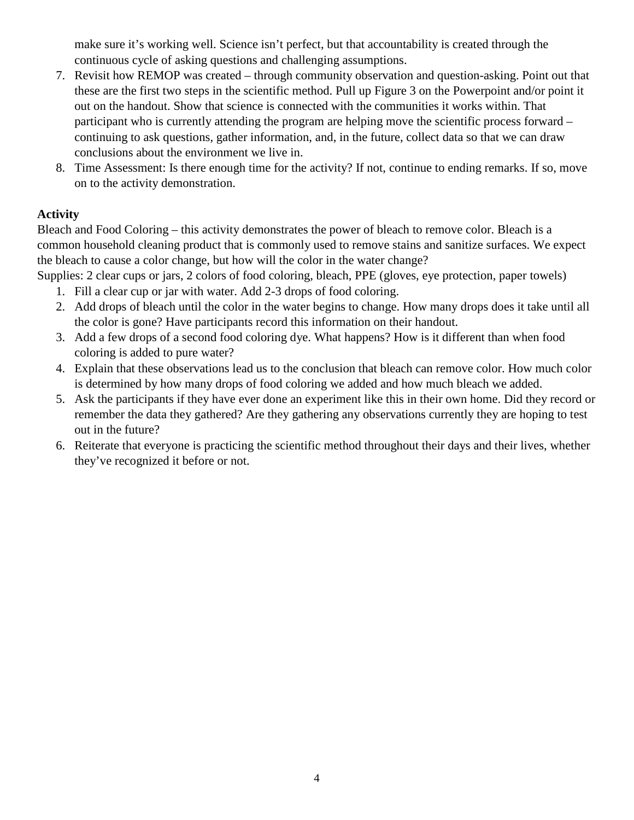make sure it's working well. Science isn't perfect, but that accountability is created through the continuous cycle of asking questions and challenging assumptions.

- 7. Revisit how REMOP was created through community observation and question-asking. Point out that these are the first two steps in the scientific method. Pull up Figure 3 on the Powerpoint and/or point it out on the handout. Show that science is connected with the communities it works within. That participant who is currently attending the program are helping move the scientific process forward – continuing to ask questions, gather information, and, in the future, collect data so that we can draw conclusions about the environment we live in.
- 8. Time Assessment: Is there enough time for the activity? If not, continue to ending remarks. If so, move on to the activity demonstration.

### **Activity**

Bleach and Food Coloring – this activity demonstrates the power of bleach to remove color. Bleach is a common household cleaning product that is commonly used to remove stains and sanitize surfaces. We expect the bleach to cause a color change, but how will the color in the water change?

Supplies: 2 clear cups or jars, 2 colors of food coloring, bleach, PPE (gloves, eye protection, paper towels)

- 1. Fill a clear cup or jar with water. Add 2-3 drops of food coloring.
- 2. Add drops of bleach until the color in the water begins to change. How many drops does it take until all the color is gone? Have participants record this information on their handout.
- 3. Add a few drops of a second food coloring dye. What happens? How is it different than when food coloring is added to pure water?
- 4. Explain that these observations lead us to the conclusion that bleach can remove color. How much color is determined by how many drops of food coloring we added and how much bleach we added.
- 5. Ask the participants if they have ever done an experiment like this in their own home. Did they record or remember the data they gathered? Are they gathering any observations currently they are hoping to test out in the future?
- 6. Reiterate that everyone is practicing the scientific method throughout their days and their lives, whether they've recognized it before or not.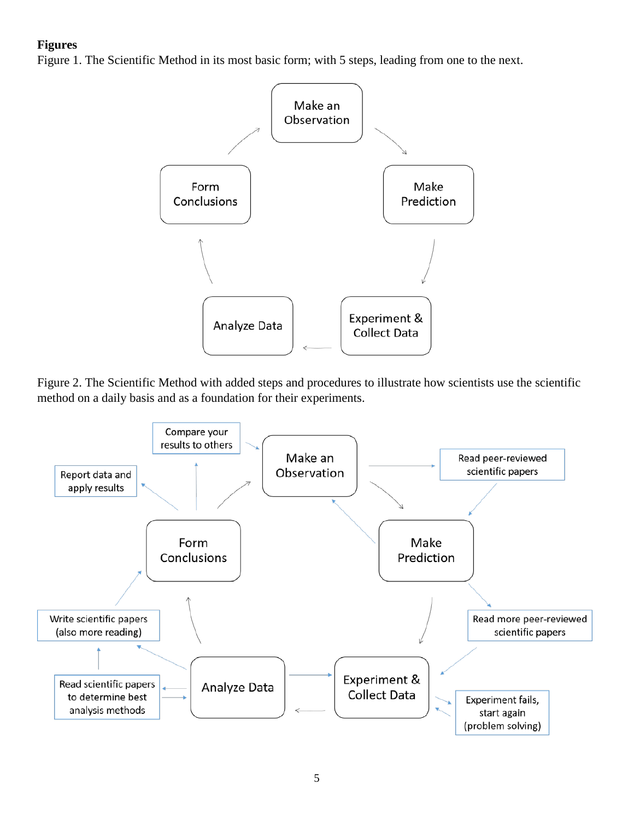#### **Figures**

Figure 1. The Scientific Method in its most basic form; with 5 steps, leading from one to the next.



Figure 2. The Scientific Method with added steps and procedures to illustrate how scientists use the scientific method on a daily basis and as a foundation for their experiments.

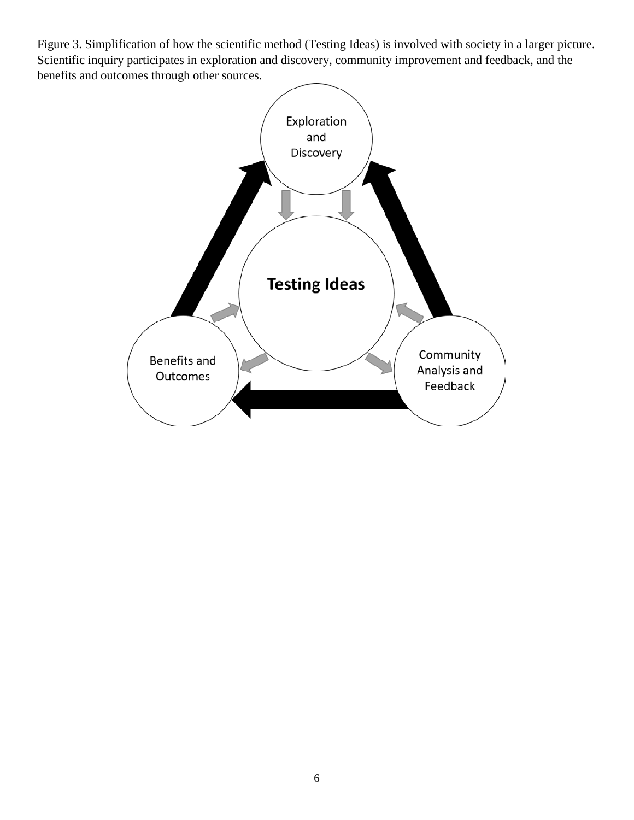Figure 3. Simplification of how the scientific method (Testing Ideas) is involved with society in a larger picture. Scientific inquiry participates in exploration and discovery, community improvement and feedback, and the benefits and outcomes through other sources.

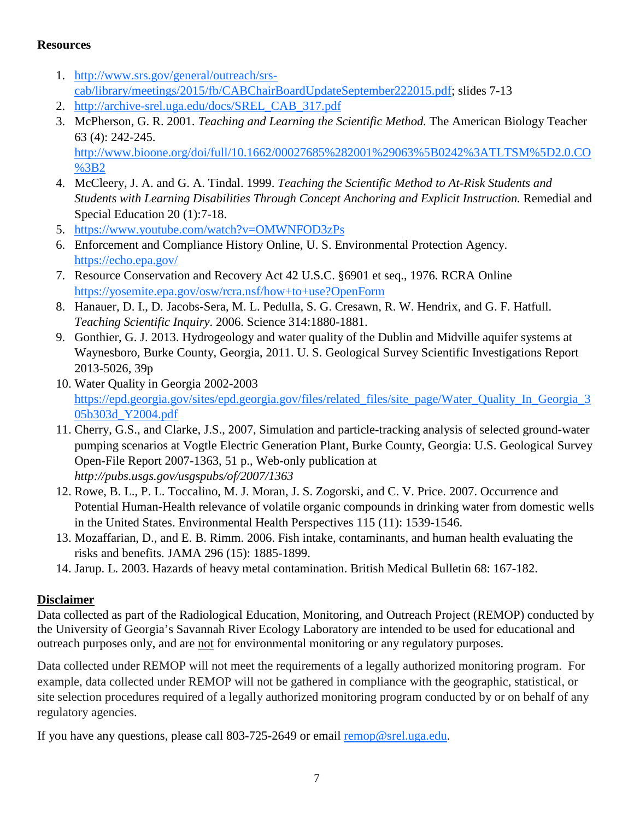#### **Resources**

- 1. [http://www.srs.gov/general/outreach/srs](http://www.srs.gov/general/outreach/srs-cab/library/meetings/2015/fb/CABChairBoardUpdateSeptember222015.pdf)[cab/library/meetings/2015/fb/CABChairBoardUpdateSeptember222015.pdf;](http://www.srs.gov/general/outreach/srs-cab/library/meetings/2015/fb/CABChairBoardUpdateSeptember222015.pdf) slides 7-13
- 2. [http://archive-srel.uga.edu/docs/SREL\\_CAB\\_317.pdf](http://archive-srel.uga.edu/docs/SREL_CAB_317.pdf)
- 3. McPherson, G. R. 2001. *Teaching and Learning the Scientific Method.* The American Biology Teacher 63 (4): 242-245.

[http://www.bioone.org/doi/full/10.1662/00027685%282001%29063%5B0242%3ATLTSM%5D2.0.CO](http://www.bioone.org/doi/full/10.1662/00027685%282001%29063%5B0242%3ATLTSM%5D2.0.CO%3B2) [%3B2](http://www.bioone.org/doi/full/10.1662/00027685%282001%29063%5B0242%3ATLTSM%5D2.0.CO%3B2)

- 4. McCleery, J. A. and G. A. Tindal. 1999. *Teaching the Scientific Method to At-Risk Students and Students with Learning Disabilities Through Concept Anchoring and Explicit Instruction.* Remedial and Special Education 20 (1):7-18.
- 5. <https://www.youtube.com/watch?v=OMWNFOD3zPs>
- 6. Enforcement and Compliance History Online, U. S. Environmental Protection Agency. <https://echo.epa.gov/>
- 7. Resource Conservation and Recovery Act 42 U.S.C. §6901 et seq., 1976. RCRA Online <https://yosemite.epa.gov/osw/rcra.nsf/how+to+use?OpenForm>
- 8. Hanauer, D. I., D. Jacobs-Sera, M. L. Pedulla, S. G. Cresawn, R. W. Hendrix, and G. F. Hatfull. *Teaching Scientific Inquiry*. 2006. Science 314:1880-1881.
- 9. Gonthier, G. J. 2013. Hydrogeology and water quality of the Dublin and Midville aquifer systems at Waynesboro, Burke County, Georgia, 2011. U. S. Geological Survey Scientific Investigations Report 2013-5026, 39p
- 10. Water Quality in Georgia 2002-2003 [https://epd.georgia.gov/sites/epd.georgia.gov/files/related\\_files/site\\_page/Water\\_Quality\\_In\\_Georgia\\_3](https://epd.georgia.gov/sites/epd.georgia.gov/files/related_files/site_page/Water_Quality_In_Georgia_305b303d_Y2004.pdf) [05b303d\\_Y2004.pdf](https://epd.georgia.gov/sites/epd.georgia.gov/files/related_files/site_page/Water_Quality_In_Georgia_305b303d_Y2004.pdf)
- 11. Cherry, G.S., and Clarke, J.S., 2007, Simulation and particle-tracking analysis of selected ground-water pumping scenarios at Vogtle Electric Generation Plant, Burke County, Georgia: U.S. Geological Survey Open-File Report 2007-1363, 51 p., Web-only publication at *http://pubs.usgs.gov/usgspubs/of/2007/1363*
- 12. Rowe, B. L., P. L. Toccalino, M. J. Moran, J. S. Zogorski, and C. V. Price. 2007. Occurrence and Potential Human-Health relevance of volatile organic compounds in drinking water from domestic wells in the United States. Environmental Health Perspectives 115 (11): 1539-1546.
- 13. Mozaffarian, D., and E. B. Rimm. 2006. Fish intake, contaminants, and human health evaluating the risks and benefits. JAMA 296 (15): 1885-1899.
- 14. Jarup. L. 2003. Hazards of heavy metal contamination. British Medical Bulletin 68: 167-182.

# **Disclaimer**

Data collected as part of the Radiological Education, Monitoring, and Outreach Project (REMOP) conducted by the University of Georgia's Savannah River Ecology Laboratory are intended to be used for educational and outreach purposes only, and are not for environmental monitoring or any regulatory purposes.

Data collected under REMOP will not meet the requirements of a legally authorized monitoring program. For example, data collected under REMOP will not be gathered in compliance with the geographic, statistical, or site selection procedures required of a legally authorized monitoring program conducted by or on behalf of any regulatory agencies.

If you have any questions, please call  $803-725-2649$  or email [remop@srel.uga.edu.](mailto:remop@srel.uga.edu)